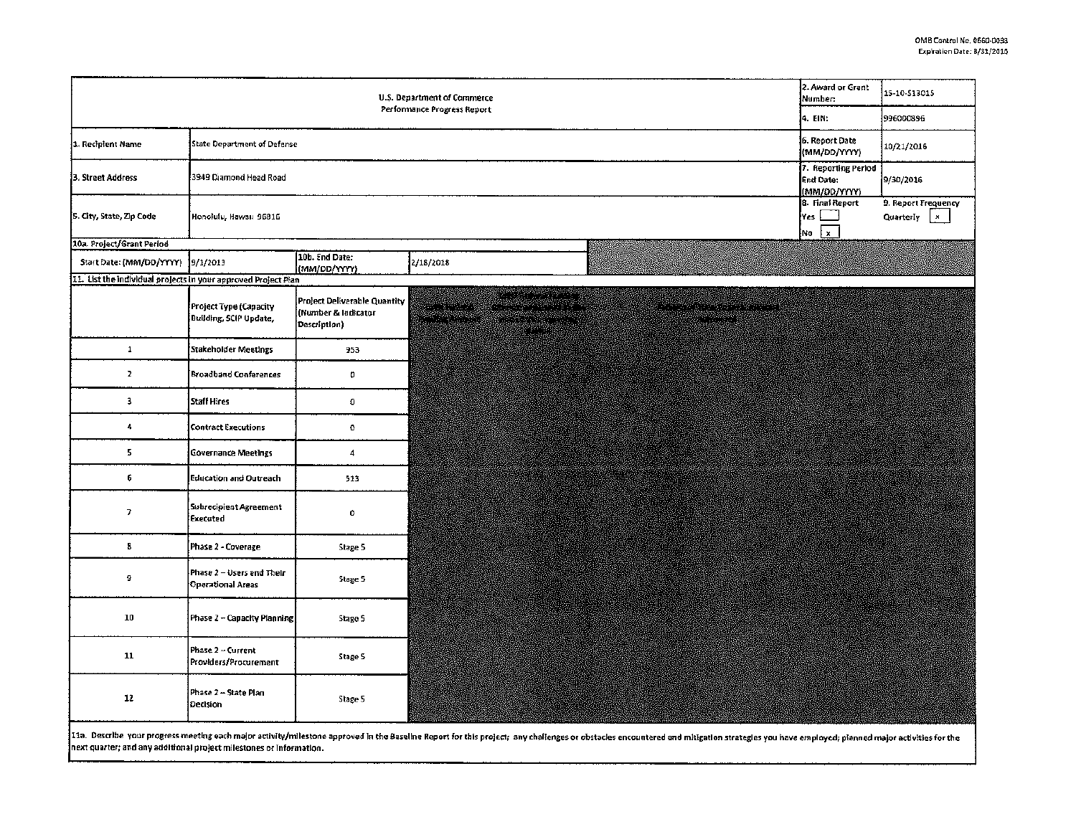| U.S. Department of Commerce<br>Performance Progress Report     |                                                       |                                                                     |                                                                                                                |             |  | 2. Award or Grant<br><b>Number:</b>              | 15-10-513015                                     |  |
|----------------------------------------------------------------|-------------------------------------------------------|---------------------------------------------------------------------|----------------------------------------------------------------------------------------------------------------|-------------|--|--------------------------------------------------|--------------------------------------------------|--|
|                                                                |                                                       |                                                                     |                                                                                                                |             |  | 4. EIN:                                          | 996000896                                        |  |
| 1. Recipient Name                                              | <b>State Department of Defense</b>                    |                                                                     |                                                                                                                |             |  | 6. Report Date<br>(MM/DD/YYYY)                   | 10/21/2016                                       |  |
| 3. Street Address                                              | 3949 Diamond Head Road                                |                                                                     |                                                                                                                |             |  | 7. Reporting Period<br>End Date:<br>(MM/00/YYYY) | 9/30/2016                                        |  |
| 5. City, State, Zip Code                                       | Honolulu, Hawaii 96816                                |                                                                     |                                                                                                                |             |  | 8. Final Report<br>[Yes [<br>No x                | 9. Report Frequency<br>$\mathbf{x}$<br>Quarterly |  |
| 10a. Project/Grant Period                                      |                                                       |                                                                     |                                                                                                                |             |  |                                                  |                                                  |  |
| Start Date: (MM/DD/YYYY)                                       | 19/1/2013                                             | 10b. End Date:<br>(MM/DD/YYYY)                                      | 2/18/2018                                                                                                      |             |  |                                                  |                                                  |  |
| 11. List the individual projects in your approved Project Plan |                                                       |                                                                     |                                                                                                                |             |  |                                                  |                                                  |  |
|                                                                | Project Type (Capacity<br>Building, SCIP Update,      | Project Deliverable Quantity<br>(Number & ladicator<br>Description) | e e grecero este<br>nyang sebagai<br>na kata na mga mga kata<br>ren earrea<br>mental de la propieta<br>TINGS S | na opachang |  |                                                  |                                                  |  |
| $\mathbf 1$                                                    | Stakeholder Meetings                                  | 953                                                                 |                                                                                                                |             |  |                                                  |                                                  |  |
| $\mathbf{z}$                                                   | <b>Broadband Conferences</b>                          | $\mathfrak{g}$                                                      |                                                                                                                |             |  |                                                  |                                                  |  |
| 3                                                              | Staff Hires                                           | $\pmb{\mathsf{o}}$                                                  |                                                                                                                |             |  |                                                  |                                                  |  |
| 4                                                              | <b>Contract Executions</b>                            | $\mathbf 0$                                                         |                                                                                                                |             |  |                                                  |                                                  |  |
| 5                                                              | Governance Meetings                                   | 4                                                                   |                                                                                                                |             |  |                                                  |                                                  |  |
| 6                                                              | Education and Outreach                                | 513                                                                 |                                                                                                                |             |  |                                                  |                                                  |  |
| $\mathcal{L}$                                                  | Subrecipient Agreement<br>Executed                    | 0                                                                   |                                                                                                                |             |  |                                                  |                                                  |  |
| 8                                                              | Phase 2 - Coverage                                    | Stage 5                                                             |                                                                                                                |             |  |                                                  |                                                  |  |
| 9                                                              | Phase 2 - Users and Their<br><b>Operational Areas</b> | Stage 5                                                             |                                                                                                                |             |  |                                                  |                                                  |  |
| 10                                                             | Phase 2 – Capacity Planning                           | Stage 5                                                             |                                                                                                                |             |  |                                                  |                                                  |  |
| $11$                                                           | Phase 2 - Current<br>Providers/Procurement            | Stage 5                                                             |                                                                                                                |             |  |                                                  |                                                  |  |
| $12 \,$                                                        | Phase 2 – State Plan<br>Decision                      | Stage 5                                                             |                                                                                                                |             |  |                                                  |                                                  |  |

11a. Describe your progress meeting each major activity/milestone approved in the Baseline Report for this project; any challenges or obstacles encountered and mitigation strategies you have employed; planned major activit next quarter; and any additional project milestones or information.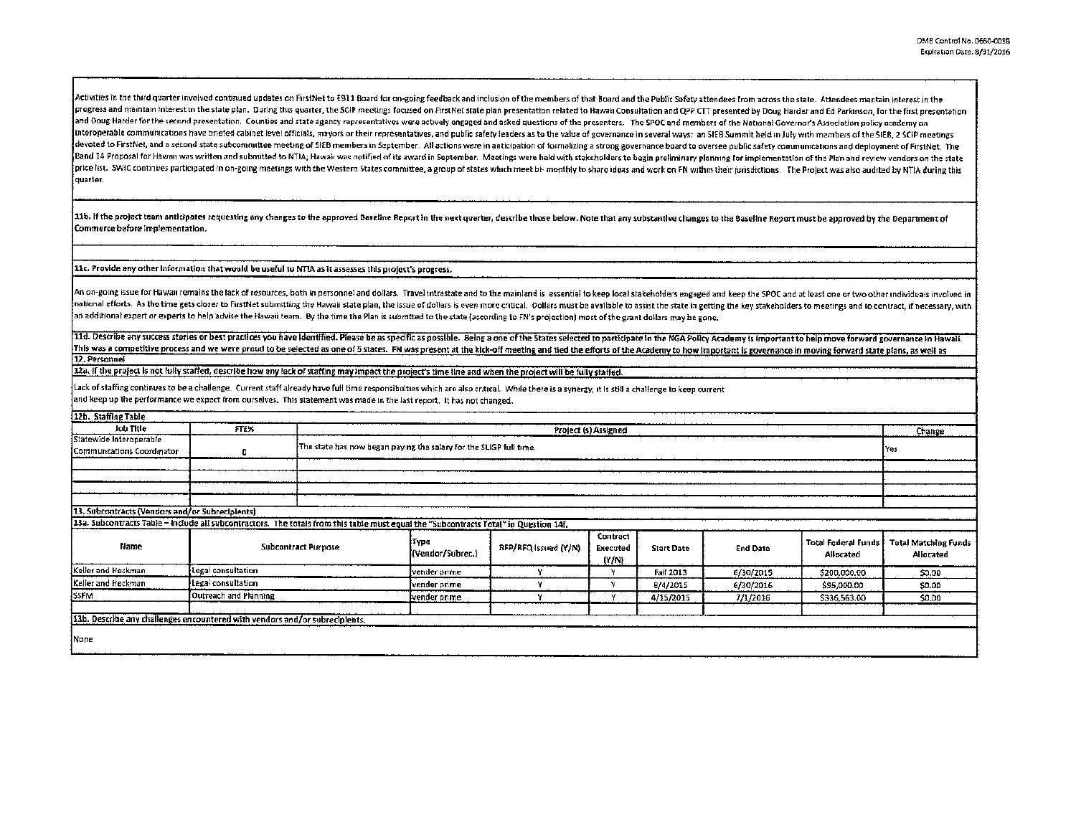.<br>Activities in the third quarter involved continued updates on FirstNet to 6911 Board for on-going feedback and inclusion of the members of that Board and the Public Safety attendees from across the state. Attendees manta progress and maintain interest in the state plan. During this quarter, the SCIP meetings focused on FirstNet state plan presentation related to Hawaii Consultation and QPP CTT presented by Doug Harder and Ed Parkinson, for and Doug Harder for the second presentation. Counties and state agency representatives were actively engaged and asked questions of the presenters. The SPOC and members of the National Governor's Association policy academy interoperable communications have briefed cabinet level officials, mayors or their representatives, and public safety leaders as to the value of governance in several ways: an SIEB Summit held in July with members of the S devoted to FirstNet, and a second state subcommittee meeting of SIEB members in September. All actions were in anticipation of formalizing a strong governance board to oversee public safety communications and deployment of Band 14 Proposal for Hawan was written and submitted to NTIA; Hawan was notified of its award in September. Meetings were held with stakeholders to begin preliminary planning for implementation of the Plan and review vendo price list. SWIC continues participated in on-going meetings with the Western States committee, a group of states which meet bi- monthly to share ideas and work on FN within their jurisdictions. The Project was also audite guarter.

11b. If the project team anticipates requesting any changes to the approved Baseline Report in the next quarter, describe those below. Note that any substantive changes to the Baseline Report must be approved by the Depart Commerce before Implementation.

11c. Provide any other information that would be useful to NTIA as it assesses this project's progress.

An on-going issue for Hawau remains the lack of resources, both in personnel and dollars. Travel intrastate and to the mainland is essential to keep local stakeholders engaged and keep the SPOC and at least one or two othe hational efforts. As the time gets closer to FirstNet submitting the Hawaii state plan, the issue of dollars is even more critical. Dollars must be avallable to assist the state in getting the key stakeholders to meetings ,<br>an additional expert or experts to help advise the Hawaii team. By the time the Plan is submtted to the state (according to FN's projection) most of the grant dollars may be gone.

11d. Describe any success stories or best practices you have identified. Please be as specific as possible. Seing a one of the States selected to participate in the NGA Policy Academy is important to help move forward gove This was a competitive process and we were proud to be selected as one of 5 states. FN was present at the kick-off meeting and tied the efforts of the Academy to how important is governance in moving forward state plans, a 12. Personnel

12a. If the project is not fully staffed, describe how any lack of staffing may impact the project's time line and when the project will be fully staffed.

Lack of staffing continues to be a challenge. Current staff already have full time responsibulties which are also critical. While there is a synergy, it is still a challenge to keep current and keep up the performance we expect from ourselves. This statement was made in the last regort. It has not changed.

| 12b. Staffing Table                                                                                                                   |                       |                                                                           |                          |                      |                               |                   |                 |                                                |                                          |
|---------------------------------------------------------------------------------------------------------------------------------------|-----------------------|---------------------------------------------------------------------------|--------------------------|----------------------|-------------------------------|-------------------|-----------------|------------------------------------------------|------------------------------------------|
| Job Title                                                                                                                             | <b>FTE%</b>           | Project (s) Assigned<br>Change                                            |                          |                      |                               |                   |                 |                                                |                                          |
| Statewide Interoperable                                                                                                               |                       |                                                                           |                          |                      |                               |                   |                 |                                                |                                          |
| Communcations Coordinator                                                                                                             | ۰                     | The state has now began paying the salary for the SLIGP full time.<br>Yes |                          |                      |                               |                   |                 |                                                |                                          |
|                                                                                                                                       |                       |                                                                           |                          |                      |                               |                   |                 |                                                |                                          |
|                                                                                                                                       |                       |                                                                           |                          |                      |                               |                   |                 |                                                |                                          |
|                                                                                                                                       |                       |                                                                           |                          |                      |                               |                   |                 |                                                |                                          |
|                                                                                                                                       |                       |                                                                           |                          |                      |                               |                   |                 |                                                |                                          |
| 13. Subcontracts (Vendors and/or Subreciplents)                                                                                       |                       |                                                                           |                          |                      |                               |                   |                 |                                                |                                          |
| 13a. Subcontracts Table - Include all subcontractors. The totals from this table must equal the "Subcontracts Total" in Question 14f. |                       |                                                                           |                          |                      |                               |                   |                 |                                                |                                          |
| Name                                                                                                                                  |                       | <b>Subcontract Purpose</b>                                                | Түре<br>(Vendor/Subrec.) | RFP/RFQ Issued (Y/N) | Contract<br>Executed<br>(Y/N) | <b>Start Date</b> | <b>End Date</b> | <b>Total Federal Funds</b><br><b>Allocated</b> | <b>Total Matching Funds</b><br>Aliocated |
| Keller and Heckman                                                                                                                    | Legal consultation    |                                                                           | vender prime             |                      |                               | Fall 2013         | 6/30/2015       | \$200,000.00                                   | \$0.00                                   |
| Keller and Heckman                                                                                                                    | Legal consultation    |                                                                           | [vender prime-           |                      |                               | 6/4/2015          | 6/30/2016       | \$95,000.00                                    | \$0.00                                   |
| SSFM                                                                                                                                  | Outreach and Planning |                                                                           | vender prime             |                      |                               | 4/15/2015         | 7/1/2016        | \$336,563.00                                   | \$0,00                                   |
| 13b. Describe any challenges encountered with vendors and/or subrecipients.                                                           |                       |                                                                           |                          |                      |                               |                   |                 |                                                |                                          |
| <i>None</i>                                                                                                                           |                       |                                                                           |                          |                      |                               |                   |                 |                                                |                                          |